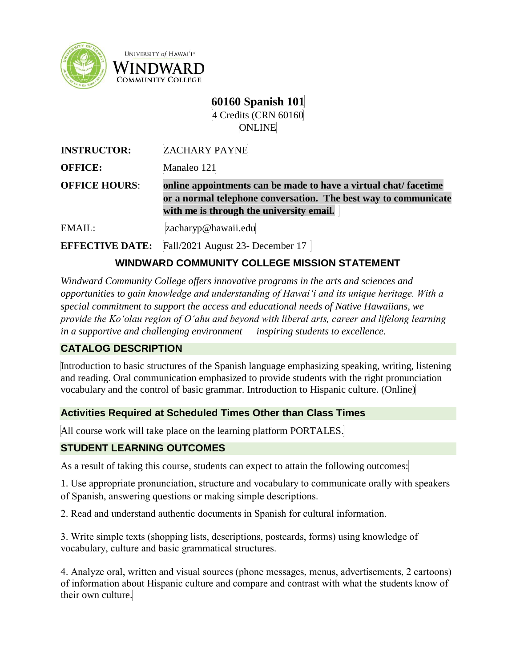

UNIVERSITY of HAWAI'I® WINDWARD **COMMUNITY COLLEGE** 

> **60160 Spanish 101** 4 Credits (CRN 60160

**ONLINE** 

| <b>INSTRUCTOR:</b>     | <b>ZACHARY PAYNE</b>                                            |
|------------------------|-----------------------------------------------------------------|
| <b>OFFICE:</b>         | Manaleo 121                                                     |
| <b>OFFICE HOURS:</b>   | online appointments can be made to have a virtual chat/facetime |
|                        | or a normal telephone conversation. The best way to communicate |
|                        | with me is through the university email.                        |
| EMAIL:                 | zacharyp@hawaii.edu                                             |
| <b>EFFECTIVE DATE:</b> | Fall/2021 August 23- December 17                                |

# **WINDWARD COMMUNITY COLLEGE MISSION STATEMENT**

*Windward Community College offers innovative programs in the arts and sciences and opportunities to gain knowledge and understanding of Hawai'i and its unique heritage. With a special commitment to support the access and educational needs of Native Hawaiians, we provide the Ko'olau region of Oʻahu and beyond with liberal arts, career and lifelong learning in a supportive and challenging environment — inspiring students to excellence.*

## **CATALOG DESCRIPTION**

Introduction to basic structures of the Spanish language emphasizing speaking, writing, listening and reading. Oral communication emphasized to provide students with the right pronunciation vocabulary and the control of basic grammar. Introduction to Hispanic culture. (Online)

## **Activities Required at Scheduled Times Other than Class Times**

All course work will take place on the learning platform PORTALES.

## **STUDENT LEARNING OUTCOMES**

As a result of taking this course, students can expect to attain the following outcomes:

1. Use appropriate pronunciation, structure and vocabulary to communicate orally with speakers of Spanish, answering questions or making simple descriptions.

2. Read and understand authentic documents in Spanish for cultural information.

3. Write simple texts (shopping lists, descriptions, postcards, forms) using knowledge of vocabulary, culture and basic grammatical structures.

4. Analyze oral, written and visual sources (phone messages, menus, advertisements, 2 cartoons) of information about Hispanic culture and compare and contrast with what the students know of their own culture.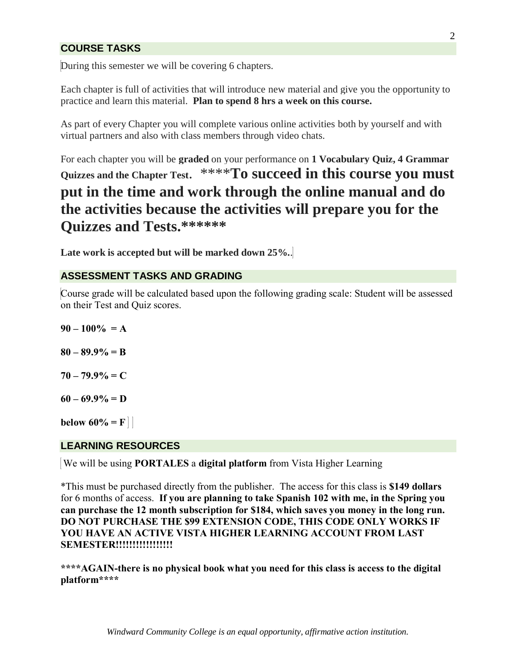### **COURSE TASKS**

During this semester we will be covering 6 chapters.

Each chapter is full of activities that will introduce new material and give you the opportunity to practice and learn this material. **Plan to spend 8 hrs a week on this course.**

As part of every Chapter you will complete various online activities both by yourself and with virtual partners and also with class members through video chats.

For each chapter you will be **graded** on your performance on **1 Vocabulary Quiz, 4 Grammar Quizzes and the Chapter Test**. \*\*\*\***To succeed in this course you must put in the time and work through the online manual and do the activities because the activities will prepare you for the Quizzes and Tests.\*\*\*\*\*\***

**Late work is accepted but will be marked down 25%.**.

#### **ASSESSMENT TASKS AND GRADING**

Course grade will be calculated based upon the following grading scale: Student will be assessed on their Test and Quiz scores.

 $90 - 100\% = A$ **80 – 89.9% = B**  $70 - 79.9\% = C$  $60 - 69.9\% = D$ 

**below**  $60\% = F$ 

#### **LEARNING RESOURCES**

We will be using **PORTALES** a **digital platform** from Vista Higher Learning

\*This must be purchased directly from the publisher. The access for this class is **\$149 dollars** for 6 months of access. **If you are planning to take Spanish 102 with me, in the Spring you can purchase the 12 month subscription for \$184, which saves you money in the long run. DO NOT PURCHASE THE \$99 EXTENSION CODE, THIS CODE ONLY WORKS IF YOU HAVE AN ACTIVE VISTA HIGHER LEARNING ACCOUNT FROM LAST SEMESTER!!!!!!!!!!!!!!!!!**

**\*\*\*\*AGAIN-there is no physical book what you need for this class is access to the digital platform\*\*\*\***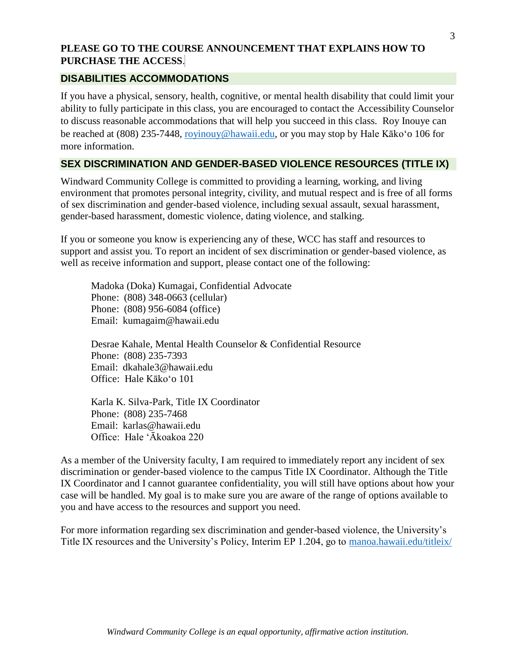### **PLEASE GO TO THE COURSE ANNOUNCEMENT THAT EXPLAINS HOW TO PURCHASE THE ACCESS**.

### **DISABILITIES ACCOMMODATIONS**

If you have a physical, sensory, health, cognitive, or mental health disability that could limit your ability to fully participate in this class, you are encouraged to contact the Accessibility Counselor to discuss reasonable accommodations that will help you succeed in this class. Roy Inouye can be reached at (808) 235-7448, [royinouy@hawaii.edu,](file:///C:/Users/wcc/Downloads/royinouy@hawaii.edu) or you may stop by Hale Kāko'o 106 for more information.

### **SEX DISCRIMINATION AND GENDER-BASED VIOLENCE RESOURCES (TITLE IX)**

Windward Community College is committed to providing a learning, working, and living environment that promotes personal integrity, civility, and mutual respect and is free of all forms of sex discrimination and gender-based violence, including sexual assault, sexual harassment, gender-based harassment, domestic violence, dating violence, and stalking.

If you or someone you know is experiencing any of these, WCC has staff and resources to support and assist you. To report an incident of sex discrimination or gender-based violence, as well as receive information and support, please contact one of the following:

Madoka (Doka) Kumagai, Confidential Advocate Phone: (808) 348-0663 (cellular) Phone: (808) 956-6084 (office) Email: kumagaim@hawaii.edu

Desrae Kahale, Mental Health Counselor & Confidential Resource Phone: (808) 235-7393 Email: dkahale3@hawaii.edu Office: Hale Kāko'o 101

Karla K. Silva-Park, Title IX Coordinator Phone: (808) 235-7468 Email: karlas@hawaii.edu Office: Hale ʻĀkoakoa 220

As a member of the University faculty, I am required to immediately report any incident of sex discrimination or gender-based violence to the campus Title IX Coordinator. Although the Title IX Coordinator and I cannot guarantee confidentiality, you will still have options about how your case will be handled. My goal is to make sure you are aware of the range of options available to you and have access to the resources and support you need.

For more information regarding sex discrimination and gender-based violence, the University's Title IX resources and the University's Policy, Interim EP 1.204, go to [manoa.hawaii.edu/titleix/](http://manoa.hawaii.edu/titleix/)